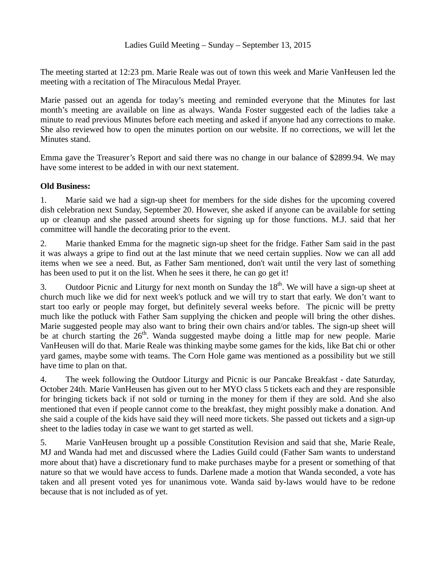The meeting started at 12:23 pm. Marie Reale was out of town this week and Marie VanHeusen led the meeting with a recitation of The Miraculous Medal Prayer.

Marie passed out an agenda for today's meeting and reminded everyone that the Minutes for last month's meeting are available on line as always. Wanda Foster suggested each of the ladies take a minute to read previous Minutes before each meeting and asked if anyone had any corrections to make. She also reviewed how to open the minutes portion on our website. If no corrections, we will let the Minutes stand.

Emma gave the Treasurer's Report and said there was no change in our balance of \$2899.94. We may have some interest to be added in with our next statement.

## **Old Business:**

1. Marie said we had a sign-up sheet for members for the side dishes for the upcoming covered dish celebration next Sunday, September 20. However, she asked if anyone can be available for setting up or cleanup and she passed around sheets for signing up for those functions. M.J. said that her committee will handle the decorating prior to the event.

2. Marie thanked Emma for the magnetic sign-up sheet for the fridge. Father Sam said in the past it was always a gripe to find out at the last minute that we need certain supplies. Now we can all add items when we see a need. But, as Father Sam mentioned, don't wait until the very last of something has been used to put it on the list. When he sees it there, he can go get it!

3. Outdoor Picnic and Liturgy for next month on Sunday the  $18<sup>th</sup>$ . We will have a sign-up sheet at church much like we did for next week's potluck and we will try to start that early. We don't want to start too early or people may forget, but definitely several weeks before. The picnic will be pretty much like the potluck with Father Sam supplying the chicken and people will bring the other dishes. Marie suggested people may also want to bring their own chairs and/or tables. The sign-up sheet will be at church starting the  $26<sup>th</sup>$ . Wanda suggested maybe doing a little map for new people. Marie VanHeusen will do that. Marie Reale was thinking maybe some games for the kids, like Bat chi or other yard games, maybe some with teams. The Corn Hole game was mentioned as a possibility but we still have time to plan on that.

4. The week following the Outdoor Liturgy and Picnic is our Pancake Breakfast - date Saturday, October 24th. Marie VanHeusen has given out to her MYO class 5 tickets each and they are responsible for bringing tickets back if not sold or turning in the money for them if they are sold. And she also mentioned that even if people cannot come to the breakfast, they might possibly make a donation. And she said a couple of the kids have said they will need more tickets. She passed out tickets and a sign-up sheet to the ladies today in case we want to get started as well.

5. Marie VanHeusen brought up a possible Constitution Revision and said that she, Marie Reale, MJ and Wanda had met and discussed where the Ladies Guild could (Father Sam wants to understand more about that) have a discretionary fund to make purchases maybe for a present or something of that nature so that we would have access to funds. Darlene made a motion that Wanda seconded, a vote has taken and all present voted yes for unanimous vote. Wanda said by-laws would have to be redone because that is not included as of yet.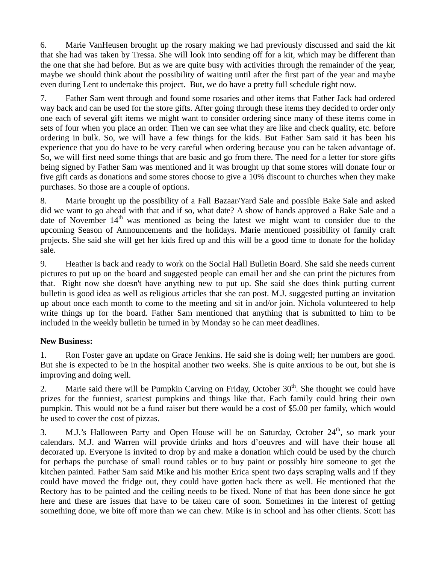6. Marie VanHeusen brought up the rosary making we had previously discussed and said the kit that she had was taken by Tressa. She will look into sending off for a kit, which may be different than the one that she had before. But as we are quite busy with activities through the remainder of the year, maybe we should think about the possibility of waiting until after the first part of the year and maybe even during Lent to undertake this project. But, we do have a pretty full schedule right now.

7. Father Sam went through and found some rosaries and other items that Father Jack had ordered way back and can be used for the store gifts. After going through these items they decided to order only one each of several gift items we might want to consider ordering since many of these items come in sets of four when you place an order. Then we can see what they are like and check quality, etc. before ordering in bulk. So, we will have a few things for the kids. But Father Sam said it has been his experience that you do have to be very careful when ordering because you can be taken advantage of. So, we will first need some things that are basic and go from there. The need for a letter for store gifts being signed by Father Sam was mentioned and it was brought up that some stores will donate four or five gift cards as donations and some stores choose to give a 10% discount to churches when they make purchases. So those are a couple of options.

8. Marie brought up the possibility of a Fall Bazaar/Yard Sale and possible Bake Sale and asked did we want to go ahead with that and if so, what date? A show of hands approved a Bake Sale and a date of November  $14<sup>th</sup>$  was mentioned as being the latest we might want to consider due to the upcoming Season of Announcements and the holidays. Marie mentioned possibility of family craft projects. She said she will get her kids fired up and this will be a good time to donate for the holiday sale.

9. Heather is back and ready to work on the Social Hall Bulletin Board. She said she needs current pictures to put up on the board and suggested people can email her and she can print the pictures from that. Right now she doesn't have anything new to put up. She said she does think putting current bulletin is good idea as well as religious articles that she can post. M.J. suggested putting an invitation up about once each month to come to the meeting and sit in and/or join. Nichola volunteered to help write things up for the board. Father Sam mentioned that anything that is submitted to him to be included in the weekly bulletin be turned in by Monday so he can meet deadlines.

## **New Business:**

1. Ron Foster gave an update on Grace Jenkins. He said she is doing well; her numbers are good. But she is expected to be in the hospital another two weeks. She is quite anxious to be out, but she is improving and doing well.

2. Marie said there will be Pumpkin Carving on Friday, October  $30<sup>th</sup>$ . She thought we could have prizes for the funniest, scariest pumpkins and things like that. Each family could bring their own pumpkin. This would not be a fund raiser but there would be a cost of \$5.00 per family, which would be used to cover the cost of pizzas.

3. M.J.'s Halloween Party and Open House will be on Saturday, October  $24<sup>th</sup>$ , so mark your calendars. M.J. and Warren will provide drinks and hors d'oeuvres and will have their house all decorated up. Everyone is invited to drop by and make a donation which could be used by the church for perhaps the purchase of small round tables or to buy paint or possibly hire someone to get the kitchen painted. Father Sam said Mike and his mother Erica spent two days scraping walls and if they could have moved the fridge out, they could have gotten back there as well. He mentioned that the Rectory has to be painted and the ceiling needs to be fixed. None of that has been done since he got here and these are issues that have to be taken care of soon. Sometimes in the interest of getting something done, we bite off more than we can chew. Mike is in school and has other clients. Scott has